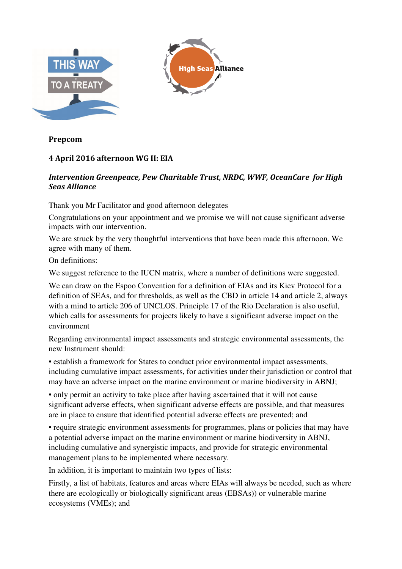

**Prepcom** 

## **4 April 2016 afternoon WG II: EIA**

## *Intervention Greenpeace, Pew Charitable Trust, NRDC, WWF, OceanCare for High Seas Alliance*

Thank you Mr Facilitator and good afternoon delegates

Congratulations on your appointment and we promise we will not cause significant adverse impacts with our intervention.

We are struck by the very thoughtful interventions that have been made this afternoon. We agree with many of them.

On definitions:

We suggest reference to the IUCN matrix, where a number of definitions were suggested.

We can draw on the Espoo Convention for a definition of EIAs and its Kiev Protocol for a definition of SEAs, and for thresholds, as well as the CBD in article 14 and article 2, always with a mind to article 206 of UNCLOS. Principle 17 of the Rio Declaration is also useful, which calls for assessments for projects likely to have a significant adverse impact on the environment

Regarding environmental impact assessments and strategic environmental assessments, the new Instrument should:

• establish a framework for States to conduct prior environmental impact assessments, including cumulative impact assessments, for activities under their jurisdiction or control that may have an adverse impact on the marine environment or marine biodiversity in ABNJ;

• only permit an activity to take place after having ascertained that it will not cause significant adverse effects, when significant adverse effects are possible, and that measures are in place to ensure that identified potential adverse effects are prevented; and

• require strategic environment assessments for programmes, plans or policies that may have a potential adverse impact on the marine environment or marine biodiversity in ABNJ, including cumulative and synergistic impacts, and provide for strategic environmental management plans to be implemented where necessary.

In addition, it is important to maintain two types of lists:

Firstly, a list of habitats, features and areas where EIAs will always be needed, such as where there are ecologically or biologically significant areas (EBSAs)) or vulnerable marine ecosystems (VMEs); and